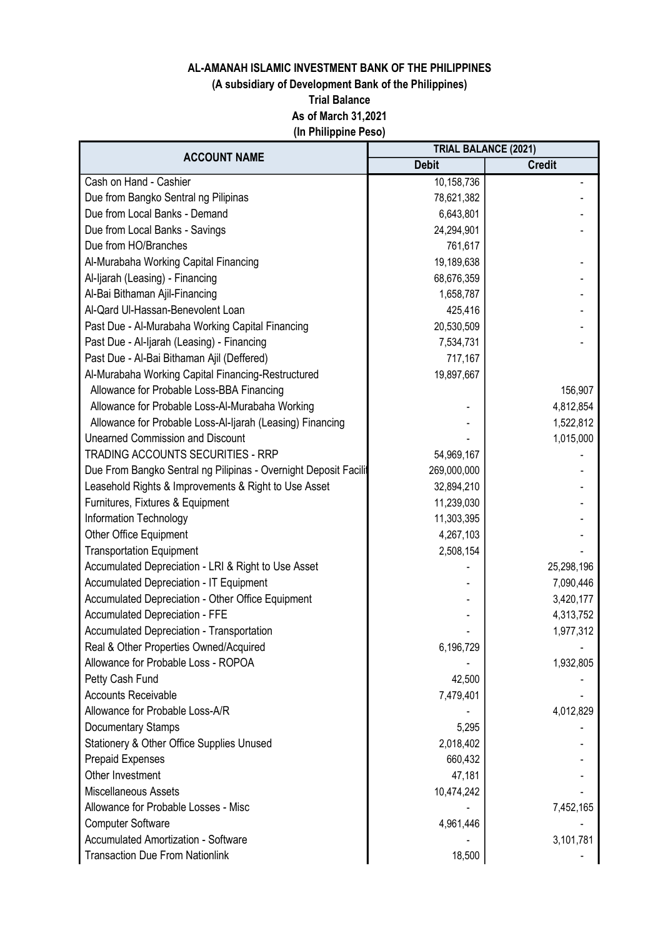# (A subsidiary of Development Bank of the Philippines)

Trial Balance

As of March 31,2021

(In Philippine Peso)

| <b>ACCOUNT NAME</b>                                              | <b>TRIAL BALANCE (2021)</b> |               |
|------------------------------------------------------------------|-----------------------------|---------------|
|                                                                  | <b>Debit</b>                | <b>Credit</b> |
| Cash on Hand - Cashier                                           | 10,158,736                  |               |
| Due from Bangko Sentral ng Pilipinas                             | 78,621,382                  |               |
| Due from Local Banks - Demand                                    | 6,643,801                   |               |
| Due from Local Banks - Savings                                   | 24,294,901                  |               |
| Due from HO/Branches                                             | 761,617                     |               |
| Al-Murabaha Working Capital Financing                            | 19,189,638                  |               |
| Al-Ijarah (Leasing) - Financing                                  | 68,676,359                  |               |
| Al-Bai Bithaman Ajil-Financing                                   | 1,658,787                   |               |
| Al-Qard Ul-Hassan-Benevolent Loan                                | 425,416                     |               |
| Past Due - Al-Murabaha Working Capital Financing                 | 20,530,509                  |               |
| Past Due - Al-Ijarah (Leasing) - Financing                       | 7,534,731                   |               |
| Past Due - Al-Bai Bithaman Ajil (Deffered)                       | 717,167                     |               |
| Al-Murabaha Working Capital Financing-Restructured               | 19,897,667                  |               |
| Allowance for Probable Loss-BBA Financing                        |                             | 156,907       |
| Allowance for Probable Loss-Al-Murabaha Working                  |                             | 4,812,854     |
| Allowance for Probable Loss-Al-Ijarah (Leasing) Financing        |                             | 1,522,812     |
| <b>Unearned Commission and Discount</b>                          |                             | 1,015,000     |
| <b>TRADING ACCOUNTS SECURITIES - RRP</b>                         | 54,969,167                  |               |
| Due From Bangko Sentral ng Pilipinas - Overnight Deposit Facilit | 269,000,000                 |               |
| Leasehold Rights & Improvements & Right to Use Asset             | 32,894,210                  |               |
| Furnitures, Fixtures & Equipment                                 | 11,239,030                  |               |
| Information Technology                                           | 11,303,395                  |               |
| <b>Other Office Equipment</b>                                    | 4,267,103                   |               |
| <b>Transportation Equipment</b>                                  | 2,508,154                   |               |
| Accumulated Depreciation - LRI & Right to Use Asset              |                             | 25,298,196    |
| Accumulated Depreciation - IT Equipment                          |                             | 7,090,446     |
| Accumulated Depreciation - Other Office Equipment                |                             | 3,420,177     |
| <b>Accumulated Depreciation - FFE</b>                            |                             | 4,313,752     |
| Accumulated Depreciation - Transportation                        |                             | 1,977,312     |
| Real & Other Properties Owned/Acquired                           | 6,196,729                   |               |
| Allowance for Probable Loss - ROPOA                              |                             | 1,932,805     |
| Petty Cash Fund                                                  | 42,500                      |               |
| <b>Accounts Receivable</b>                                       | 7,479,401                   |               |
| Allowance for Probable Loss-A/R                                  |                             | 4,012,829     |
| Documentary Stamps                                               | 5,295                       |               |
| Stationery & Other Office Supplies Unused                        | 2,018,402                   |               |
| <b>Prepaid Expenses</b>                                          | 660,432                     |               |
| Other Investment                                                 | 47,181                      |               |
| <b>Miscellaneous Assets</b>                                      | 10,474,242                  |               |
| Allowance for Probable Losses - Misc                             |                             | 7,452,165     |
| <b>Computer Software</b>                                         | 4,961,446                   |               |
| <b>Accumulated Amortization - Software</b>                       |                             | 3,101,781     |
| <b>Transaction Due From Nationlink</b>                           | 18,500                      |               |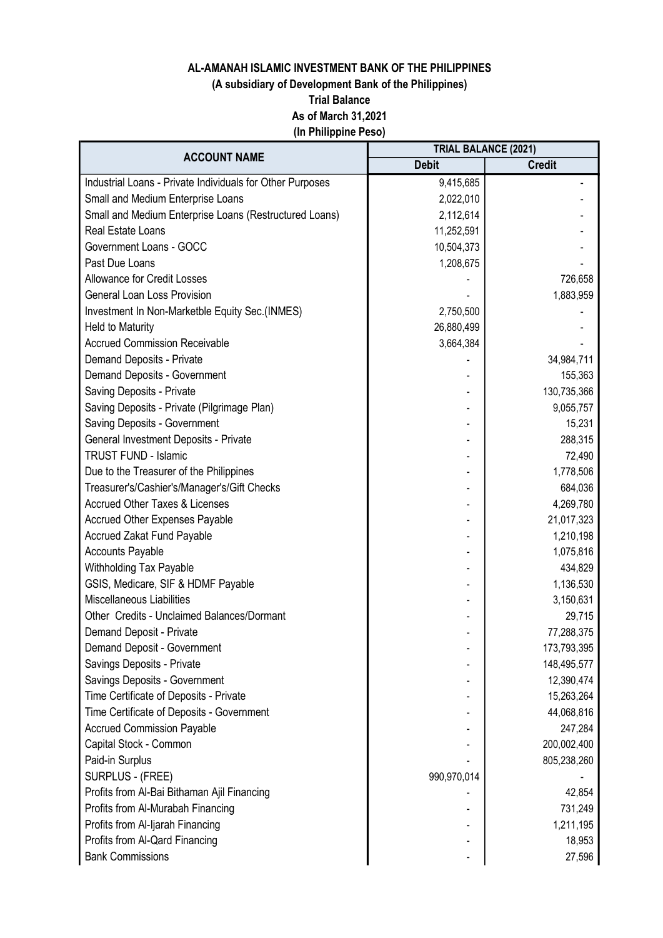# (A subsidiary of Development Bank of the Philippines)

Trial Balance

As of March 31,2021

(In Philippine Peso)

| <b>ACCOUNT NAME</b>                                       | <b>TRIAL BALANCE (2021)</b> |               |
|-----------------------------------------------------------|-----------------------------|---------------|
|                                                           | <b>Debit</b>                | <b>Credit</b> |
| Industrial Loans - Private Individuals for Other Purposes | 9,415,685                   |               |
| Small and Medium Enterprise Loans                         | 2,022,010                   |               |
| Small and Medium Enterprise Loans (Restructured Loans)    | 2,112,614                   |               |
| Real Estate Loans                                         | 11,252,591                  |               |
| Government Loans - GOCC                                   | 10,504,373                  |               |
| Past Due Loans                                            | 1,208,675                   |               |
| <b>Allowance for Credit Losses</b>                        |                             | 726,658       |
| <b>General Loan Loss Provision</b>                        |                             | 1,883,959     |
| Investment In Non-Marketble Equity Sec.(INMES)            | 2,750,500                   |               |
| Held to Maturity                                          | 26,880,499                  |               |
| <b>Accrued Commission Receivable</b>                      | 3,664,384                   |               |
| Demand Deposits - Private                                 |                             | 34,984,711    |
| Demand Deposits - Government                              |                             | 155,363       |
| Saving Deposits - Private                                 |                             | 130,735,366   |
| Saving Deposits - Private (Pilgrimage Plan)               |                             | 9,055,757     |
| Saving Deposits - Government                              |                             | 15,231        |
| General Investment Deposits - Private                     |                             | 288,315       |
| <b>TRUST FUND - Islamic</b>                               |                             | 72,490        |
| Due to the Treasurer of the Philippines                   |                             | 1,778,506     |
| Treasurer's/Cashier's/Manager's/Gift Checks               |                             | 684,036       |
| <b>Accrued Other Taxes &amp; Licenses</b>                 |                             | 4,269,780     |
| <b>Accrued Other Expenses Payable</b>                     |                             | 21,017,323    |
| <b>Accrued Zakat Fund Payable</b>                         |                             | 1,210,198     |
| <b>Accounts Payable</b>                                   |                             | 1,075,816     |
| Withholding Tax Payable                                   |                             | 434,829       |
| GSIS, Medicare, SIF & HDMF Payable                        |                             | 1,136,530     |
| Miscellaneous Liabilities                                 |                             | 3,150,631     |
| Other Credits - Unclaimed Balances/Dormant                |                             | 29,715        |
| Demand Deposit - Private                                  |                             | 77,288,375    |
| Demand Deposit - Government                               |                             | 173,793,395   |
| Savings Deposits - Private                                |                             | 148,495,577   |
| Savings Deposits - Government                             |                             | 12,390,474    |
| Time Certificate of Deposits - Private                    |                             | 15,263,264    |
| Time Certificate of Deposits - Government                 |                             | 44,068,816    |
| <b>Accrued Commission Payable</b>                         |                             | 247,284       |
| Capital Stock - Common                                    |                             | 200,002,400   |
| Paid-in Surplus                                           |                             | 805,238,260   |
| SURPLUS - (FREE)                                          | 990,970,014                 |               |
| Profits from Al-Bai Bithaman Ajil Financing               |                             | 42,854        |
| Profits from Al-Murabah Financing                         |                             | 731,249       |
| Profits from Al-Ijarah Financing                          |                             | 1,211,195     |
| Profits from Al-Qard Financing                            |                             | 18,953        |
| <b>Bank Commissions</b>                                   |                             | 27,596        |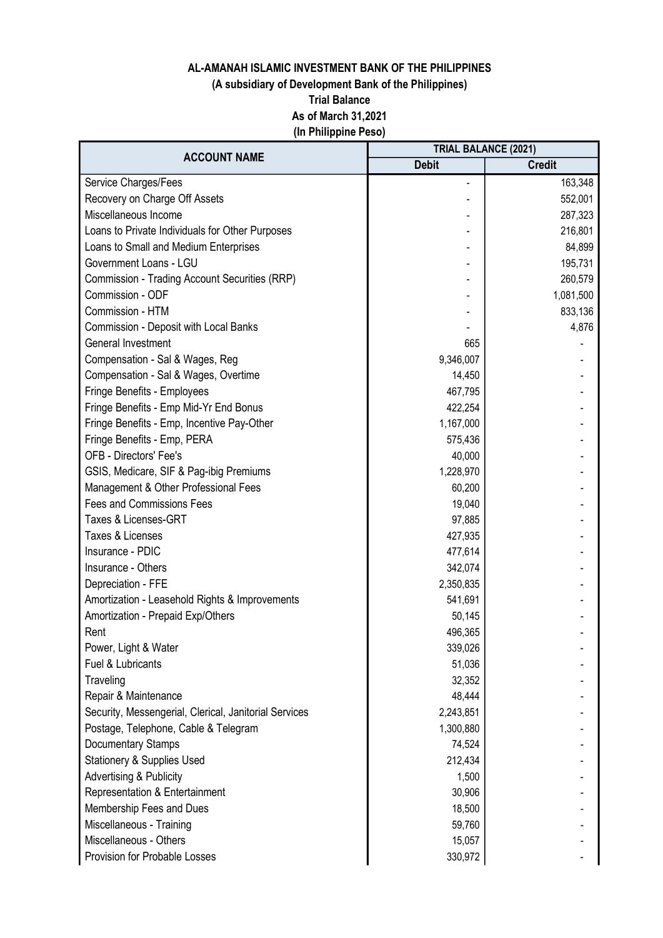# (A subsidiary of Development Bank of the Philippines)

Trial Balance

As of March 31,2021

(In Philippine Peso)

| <b>ACCOUNT NAME</b>                                   | <b>TRIAL BALANCE (2021)</b> |               |
|-------------------------------------------------------|-----------------------------|---------------|
|                                                       | <b>Debit</b>                | <b>Credit</b> |
| Service Charges/Fees                                  |                             | 163,348       |
| Recovery on Charge Off Assets                         |                             | 552,001       |
| Miscellaneous Income                                  |                             | 287,323       |
| Loans to Private Individuals for Other Purposes       |                             | 216,801       |
| Loans to Small and Medium Enterprises                 |                             | 84,899        |
| Government Loans - LGU                                |                             | 195,731       |
| Commission - Trading Account Securities (RRP)         |                             | 260,579       |
| Commission - ODF                                      |                             | 1,081,500     |
| Commission - HTM                                      |                             | 833,136       |
| Commission - Deposit with Local Banks                 |                             | 4,876         |
| General Investment                                    | 665                         |               |
| Compensation - Sal & Wages, Reg                       | 9,346,007                   |               |
| Compensation - Sal & Wages, Overtime                  | 14,450                      |               |
| Fringe Benefits - Employees                           | 467,795                     |               |
| Fringe Benefits - Emp Mid-Yr End Bonus                | 422,254                     |               |
| Fringe Benefits - Emp, Incentive Pay-Other            | 1,167,000                   |               |
| Fringe Benefits - Emp, PERA                           | 575,436                     |               |
| <b>OFB - Directors' Fee's</b>                         | 40,000                      |               |
| GSIS, Medicare, SIF & Pag-ibig Premiums               | 1,228,970                   |               |
| Management & Other Professional Fees                  | 60,200                      |               |
| <b>Fees and Commissions Fees</b>                      | 19,040                      |               |
| Taxes & Licenses-GRT                                  | 97,885                      |               |
| Taxes & Licenses                                      | 427,935                     |               |
| Insurance - PDIC                                      | 477,614                     |               |
| Insurance - Others                                    | 342,074                     |               |
| Depreciation - FFE                                    | 2,350,835                   |               |
| Amortization - Leasehold Rights & Improvements        | 541,691                     |               |
| Amortization - Prepaid Exp/Others                     | 50,145                      |               |
| Rent                                                  | 496,365                     |               |
| Power, Light & Water                                  | 339,026                     |               |
| Fuel & Lubricants                                     | 51,036                      |               |
| Traveling                                             | 32,352                      |               |
| Repair & Maintenance                                  | 48,444                      |               |
| Security, Messengerial, Clerical, Janitorial Services | 2,243,851                   |               |
| Postage, Telephone, Cable & Telegram                  | 1,300,880                   |               |
| Documentary Stamps                                    | 74,524                      |               |
| <b>Stationery &amp; Supplies Used</b>                 | 212,434                     |               |
| <b>Advertising &amp; Publicity</b>                    | 1,500                       |               |
| Representation & Entertainment                        | 30,906                      |               |
| Membership Fees and Dues                              | 18,500                      |               |
| Miscellaneous - Training                              | 59,760                      |               |
| Miscellaneous - Others                                | 15,057                      |               |
| Provision for Probable Losses                         | 330,972                     |               |